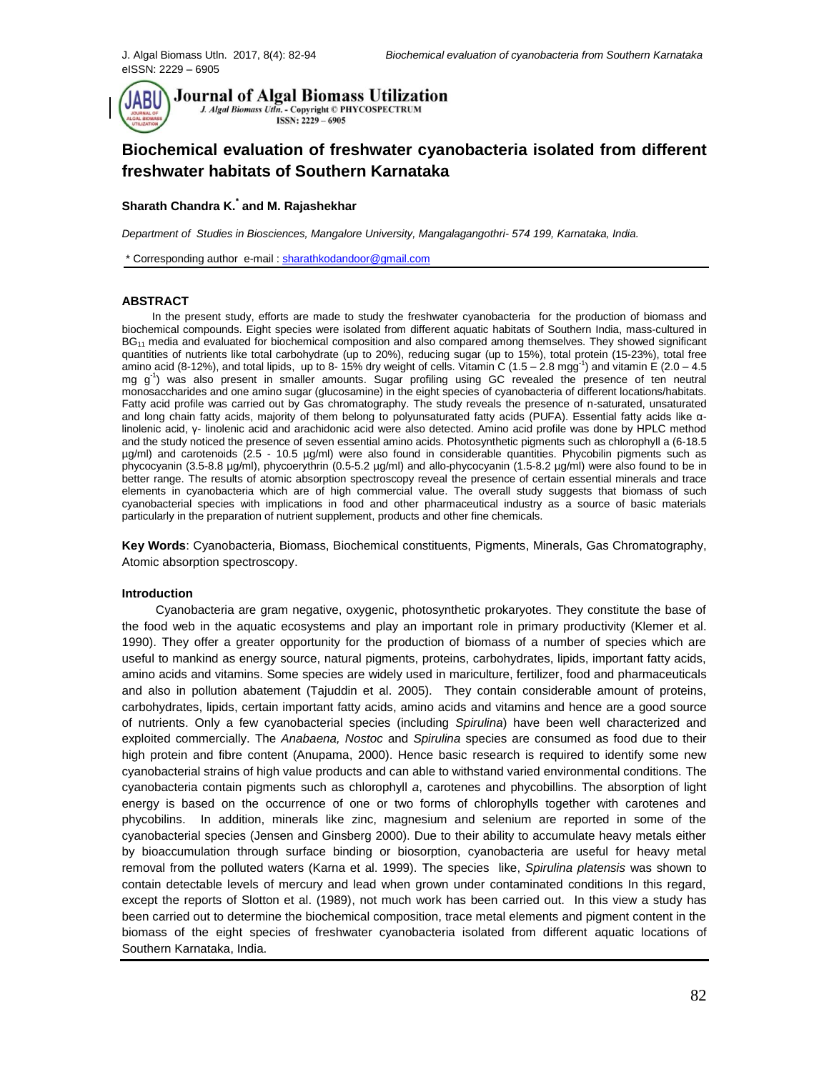

# **Biochemical evaluation of freshwater cyanobacteria isolated from different freshwater habitats of Southern Karnataka**

# **Sharath Chandra K.\* and M. Rajashekhar**

*Department of Studies in Biosciences, Mangalore University, Mangalagangothri- 574 199, Karnataka, India.*

\* Corresponding author e-mail [: sharathkodandoor@gmail.com](mailto:sharathkodandoor@gmail.com)

# **ABSTRACT**

 In the present study, efforts are made to study the freshwater cyanobacteria for the production of biomass and biochemical compounds. Eight species were isolated from different aquatic habitats of Southern India, mass-cultured in BG<sub>11</sub> media and evaluated for biochemical composition and also compared among themselves. They showed significant quantities of nutrients like total carbohydrate (up to 20%), reducing sugar (up to 15%), total protein (15-23%), total free amino acid (8-12%), and total lipids, up to 8-15% dry weight of cells. Vitamin C (1.5 – 2.8 mgg<sup>-1</sup>) and vitamin E (2.0 – 4.5 mg g<sup>-1</sup>) was also present in smaller amounts. Sugar profiling using GC revealed the presence of ten neutral monosaccharides and one amino sugar (glucosamine) in the eight species of cyanobacteria of different locations/habitats. Fatty acid profile was carried out by Gas chromatography. The study reveals the presence of n-saturated, unsaturated and long chain fatty acids, majority of them belong to polyunsaturated fatty acids (PUFA). Essential fatty acids like αlinolenic acid, γ- linolenic acid and arachidonic acid were also detected. Amino acid profile was done by HPLC method and the study noticed the presence of seven essential amino acids. Photosynthetic pigments such as chlorophyll a (6-18.5 µg/ml) and carotenoids (2.5 - 10.5 µg/ml) were also found in considerable quantities. Phycobilin pigments such as phycocyanin (3.5-8.8 µg/ml), phycoerythrin (0.5-5.2 µg/ml) and allo-phycocyanin (1.5-8.2 µg/ml) were also found to be in better range. The results of atomic absorption spectroscopy reveal the presence of certain essential minerals and trace elements in cyanobacteria which are of high commercial value. The overall study suggests that biomass of such cyanobacterial species with implications in food and other pharmaceutical industry as a source of basic materials particularly in the preparation of nutrient supplement, products and other fine chemicals.

**Key Words**: Cyanobacteria, Biomass, Biochemical constituents, Pigments, Minerals, Gas Chromatography, Atomic absorption spectroscopy.

#### **Introduction**

 Cyanobacteria are gram negative, oxygenic, photosynthetic prokaryotes. They constitute the base of the food web in the aquatic ecosystems and play an important role in primary productivity (Klemer et al. 1990). They offer a greater opportunity for the production of biomass of a number of species which are useful to mankind as energy source, natural pigments, proteins, carbohydrates, lipids, important fatty acids, amino acids and vitamins. Some species are widely used in mariculture, fertilizer, food and pharmaceuticals and also in pollution abatement (Tajuddin et al. 2005). They contain considerable amount of proteins, carbohydrates, lipids, certain important fatty acids, amino acids and vitamins and hence are a good source of nutrients. Only a few cyanobacterial species (including *Spirulina*) have been well characterized and exploited commercially. The *Anabaena, Nostoc* and *Spirulina* species are consumed as food due to their high protein and fibre content (Anupama, 2000). Hence basic research is required to identify some new cyanobacterial strains of high value products and can able to withstand varied environmental conditions. The cyanobacteria contain pigments such as chlorophyll *a*, carotenes and phycobillins. The absorption of light energy is based on the occurrence of one or two forms of chlorophylls together with carotenes and phycobilins. In addition, minerals like zinc, magnesium and selenium are reported in some of the cyanobacterial species (Jensen and Ginsberg 2000). Due to their ability to accumulate heavy metals either by bioaccumulation through surface binding or biosorption, cyanobacteria are useful for heavy metal removal from the polluted waters (Karna et al. 1999). The species like, *Spirulina platensis* was shown to contain detectable levels of mercury and lead when grown under contaminated conditions In this regard, except the reports of Slotton et al. (1989), not much work has been carried out. In this view a study has been carried out to determine the biochemical composition, trace metal elements and pigment content in the biomass of the eight species of freshwater cyanobacteria isolated from different aquatic locations of Southern Karnataka, India.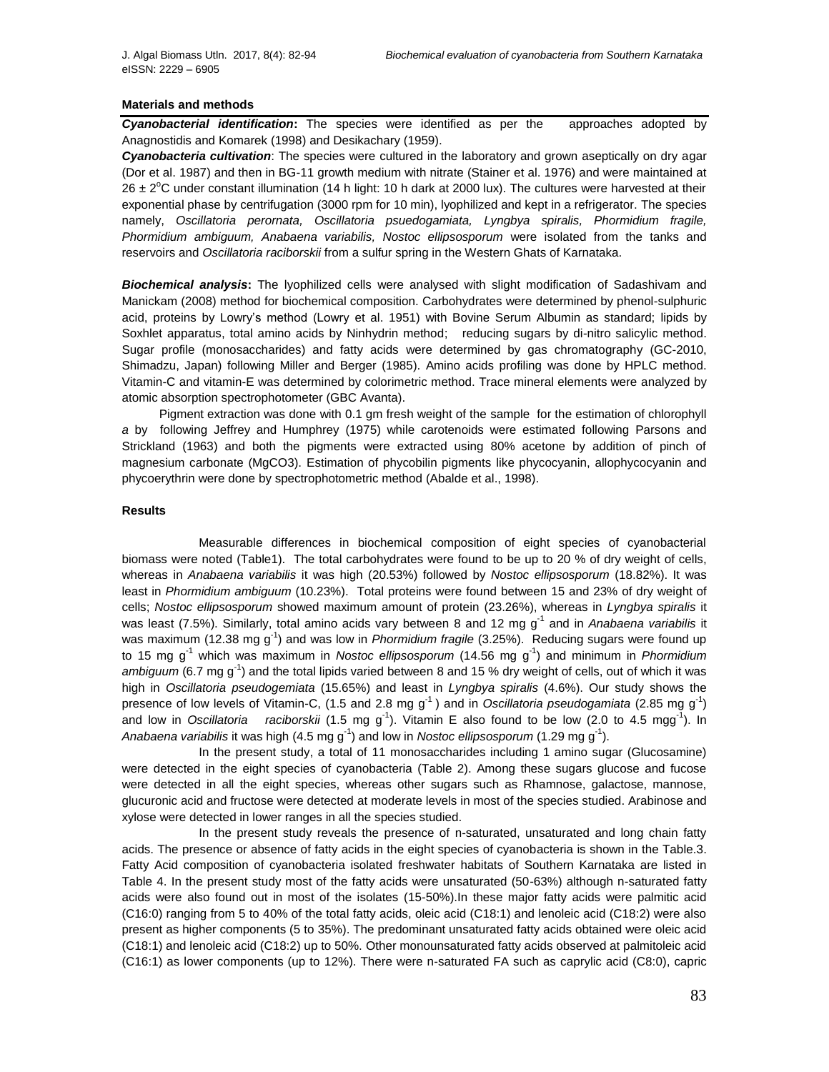# **Materials and methods**

*Cyanobacterial identification***:** The species were identified as per the approaches adopted by Anagnostidis and Komarek (1998) and Desikachary (1959).

*Cyanobacteria cultivation*: The species were cultured in the laboratory and grown aseptically on dry agar (Dor et al. 1987) and then in BG-11 growth medium with nitrate (Stainer et al. 1976) and were maintained at  $26 \pm 2^{\circ}$ C under constant illumination (14 h light: 10 h dark at 2000 lux). The cultures were harvested at their exponential phase by centrifugation (3000 rpm for 10 min), lyophilized and kept in a refrigerator. The species namely, *Oscillatoria perornata, Oscillatoria psuedogamiata, Lyngbya spiralis, Phormidium fragile, Phormidium ambiguum, Anabaena variabilis, Nostoc ellipsosporum* were isolated from the tanks and reservoirs and *Oscillatoria raciborskii* from a sulfur spring in the Western Ghats of Karnataka.

*Biochemical analysis***:** The lyophilized cells were analysed with slight modification of Sadashivam and Manickam (2008) method for biochemical composition. Carbohydrates were determined by phenol-sulphuric acid, proteins by Lowry's method (Lowry et al. 1951) with Bovine Serum Albumin as standard; lipids by Soxhlet apparatus, total amino acids by Ninhydrin method; reducing sugars by di-nitro salicylic method. Sugar profile (monosaccharides) and fatty acids were determined by gas chromatography (GC-2010, Shimadzu, Japan) following Miller and Berger (1985). Amino acids profiling was done by HPLC method. Vitamin-C and vitamin-E was determined by colorimetric method. Trace mineral elements were analyzed by atomic absorption spectrophotometer (GBC Avanta).

 Pigment extraction was done with 0.1 gm fresh weight of the sample for the estimation of chlorophyll *a* by following Jeffrey and Humphrey (1975) while carotenoids were estimated following Parsons and Strickland (1963) and both the pigments were extracted using 80% acetone by addition of pinch of magnesium carbonate (MgCO3). Estimation of phycobilin pigments like phycocyanin, allophycocyanin and phycoerythrin were done by spectrophotometric method (Abalde et al., 1998).

#### **Results**

 Measurable differences in biochemical composition of eight species of cyanobacterial biomass were noted (Table1). The total carbohydrates were found to be up to 20 % of dry weight of cells, whereas in *Anabaena variabilis* it was high (20.53%) followed by *Nostoc ellipsosporum* (18.82%). It was least in *Phormidium ambiguum* (10.23%). Total proteins were found between 15 and 23% of dry weight of cells; *Nostoc ellipsosporum* showed maximum amount of protein (23.26%), whereas in *Lyngbya spiralis* it was least (7.5%). Similarly, total amino acids vary between 8 and 12 mg g<sup>-1</sup> and in *Anabaena variabilis* it was maximum (12.38 mg g<sup>-1</sup>) and was low in *Phormidium fragile* (3.25%). Reducing sugars were found up to 15 mg g<sup>-1</sup> which was maximum in *Nostoc ellipsosporum* (14.56 mg g<sup>-1</sup>) and minimum in *Phormidium* ambiguum (6.7 mg g<sup>-1</sup>) and the total lipids varied between 8 and 15 % dry weight of cells, out of which it was high in *Oscillatoria pseudogemiata* (15.65%) and least in *Lyngbya spiralis* (4.6%). Our study shows the presence of low levels of Vitamin-C, (1.5 and 2.8 mg g<sup>-1</sup>) and in *Oscillatoria pseudogamiata* (2.85 mg g<sup>-1</sup>) and low in Oscillatoria  $^{-1}$ ). Vitamin E also found to be low (2.0 to 4.5 mgg<sup>-1</sup>). In Anabaena variabilis it was high (4.5 mg g<sup>-1</sup>) and low in *Nostoc ellipsosporum* (1.29 mg g<sup>-1</sup>).

In the present study, a total of 11 monosaccharides including 1 amino sugar (Glucosamine) were detected in the eight species of cyanobacteria (Table 2). Among these sugars glucose and fucose were detected in all the eight species, whereas other sugars such as Rhamnose, galactose, mannose, glucuronic acid and fructose were detected at moderate levels in most of the species studied. Arabinose and xylose were detected in lower ranges in all the species studied.

In the present study reveals the presence of n-saturated, unsaturated and long chain fatty acids. The presence or absence of fatty acids in the eight species of cyanobacteria is shown in the Table.3. Fatty Acid composition of cyanobacteria isolated freshwater habitats of Southern Karnataka are listed in Table 4. In the present study most of the fatty acids were unsaturated (50-63%) although n-saturated fatty acids were also found out in most of the isolates (15-50%).In these major fatty acids were palmitic acid (C16:0) ranging from 5 to 40% of the total fatty acids, oleic acid (C18:1) and lenoleic acid (C18:2) were also present as higher components (5 to 35%). The predominant unsaturated fatty acids obtained were oleic acid (C18:1) and lenoleic acid (C18:2) up to 50%. Other monounsaturated fatty acids observed at palmitoleic acid (C16:1) as lower components (up to 12%). There were n-saturated FA such as caprylic acid (C8:0), capric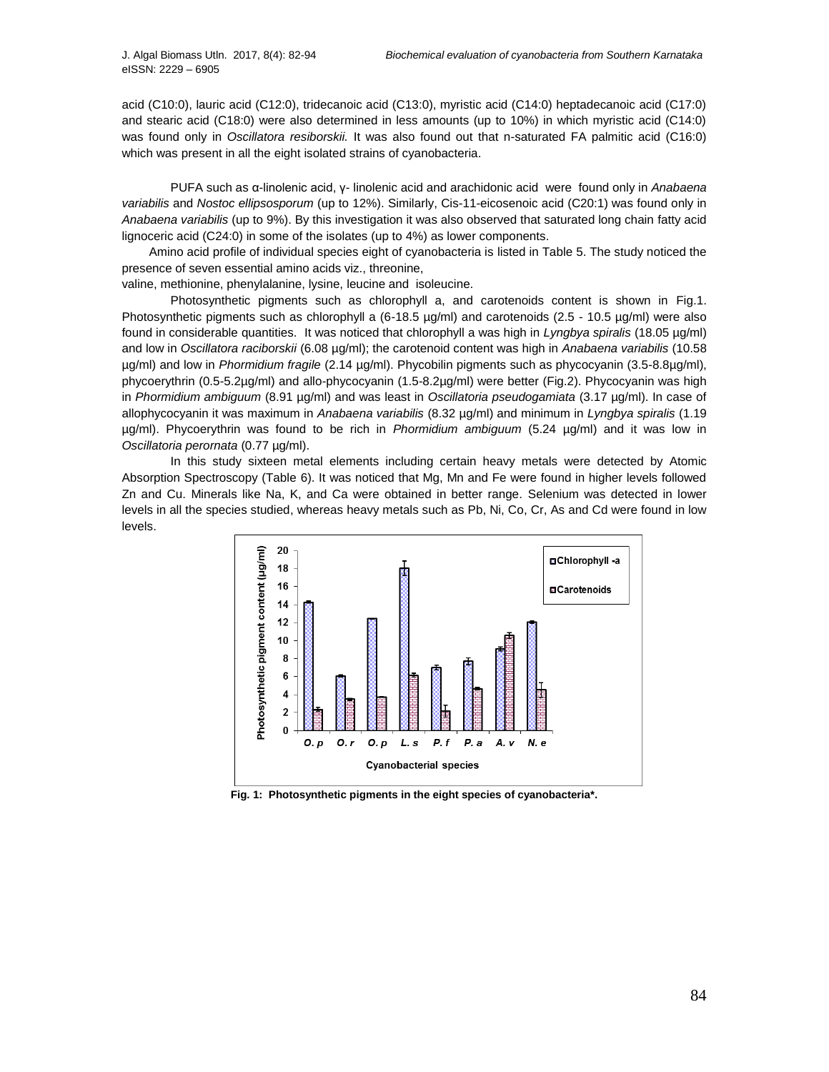acid (C10:0), lauric acid (C12:0), tridecanoic acid (C13:0), myristic acid (C14:0) heptadecanoic acid (C17:0) and stearic acid (C18:0) were also determined in less amounts (up to 10%) in which myristic acid (C14:0) was found only in *Oscillatora resiborskii.* It was also found out that n-saturated FA palmitic acid (C16:0) which was present in all the eight isolated strains of cyanobacteria.

PUFA such as α-linolenic acid, γ- linolenic acid and arachidonic acid were found only in *Anabaena variabilis* and *Nostoc ellipsosporum* (up to 12%). Similarly, Cis-11-eicosenoic acid (C20:1) was found only in *Anabaena variabilis* (up to 9%). By this investigation it was also observed that saturated long chain fatty acid lignoceric acid (C24:0) in some of the isolates (up to 4%) as lower components.

Amino acid profile of individual species eight of cyanobacteria is listed in Table 5. The study noticed the presence of seven essential amino acids viz., threonine,

valine, methionine, phenylalanine, lysine, leucine and isoleucine.

Photosynthetic pigments such as chlorophyll a, and carotenoids content is shown in Fig.1. Photosynthetic pigments such as chlorophyll a (6-18.5 µg/ml) and carotenoids (2.5 - 10.5 µg/ml) were also found in considerable quantities. It was noticed that chlorophyll a was high in *Lyngbya spiralis* (18.05 µg/ml) and low in *Oscillatora raciborskii* (6.08 µg/ml); the carotenoid content was high in *Anabaena variabilis* (10.58 µg/ml) and low in *Phormidium fragile* (2.14 µg/ml). Phycobilin pigments such as phycocyanin (3.5-8.8µg/ml), phycoerythrin (0.5-5.2µg/ml) and allo-phycocyanin (1.5-8.2µg/ml) were better (Fig.2). Phycocyanin was high in *Phormidium ambiguum* (8.91 µg/ml) and was least in *Oscillatoria pseudogamiata* (3.17 µg/ml). In case of allophycocyanin it was maximum in *Anabaena variabilis* (8.32 µg/ml) and minimum in *Lyngbya spiralis* (1.19 µg/ml). Phycoerythrin was found to be rich in *Phormidium ambiguum* (5.24 µg/ml) and it was low in *Oscillatoria perornata* (0.77 µg/ml).

In this study sixteen metal elements including certain heavy metals were detected by Atomic Absorption Spectroscopy (Table 6). It was noticed that Mg, Mn and Fe were found in higher levels followed Zn and Cu. Minerals like Na, K, and Ca were obtained in better range. Selenium was detected in lower levels in all the species studied, whereas heavy metals such as Pb, Ni, Co, Cr, As and Cd were found in low levels.



**Fig. 1: Photosynthetic pigments in the eight species of cyanobacteria\*.**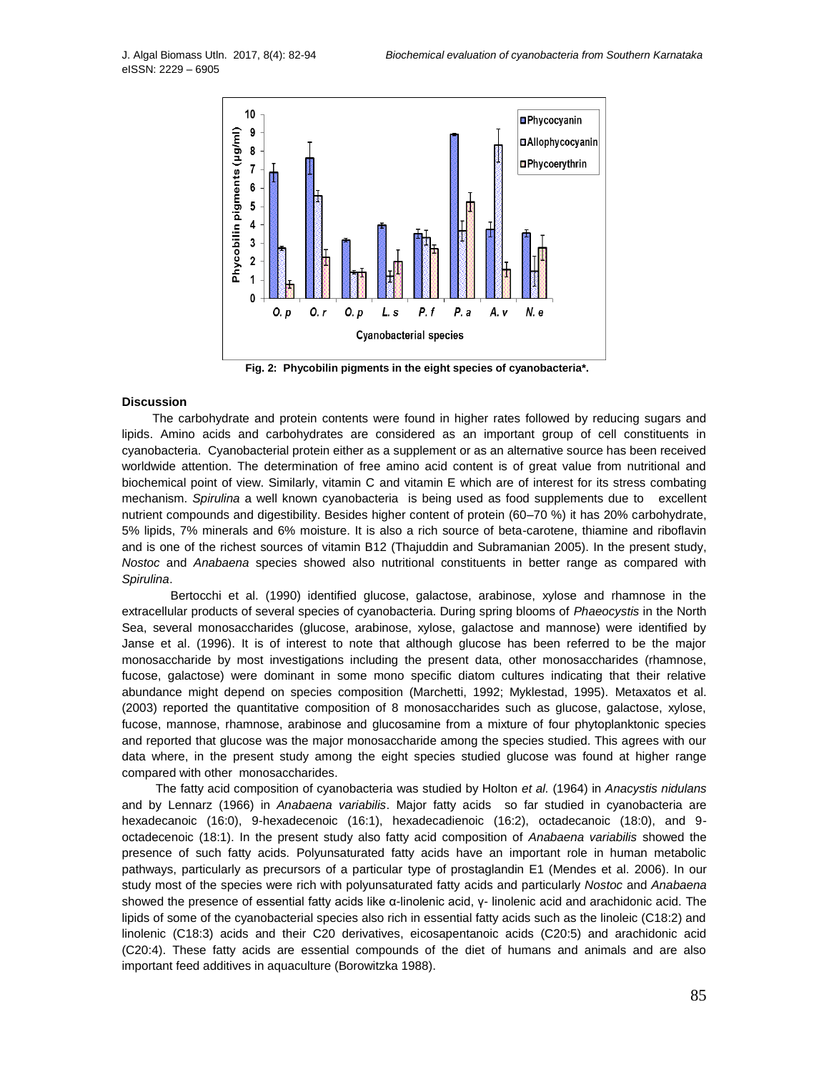

 **Fig. 2: Phycobilin pigments in the eight species of cyanobacteria\*.**

#### **Discussion**

 The carbohydrate and protein contents were found in higher rates followed by reducing sugars and lipids. Amino acids and carbohydrates are considered as an important group of cell constituents in cyanobacteria. Cyanobacterial protein either as a supplement or as an alternative source has been received worldwide attention. The determination of free amino acid content is of great value from nutritional and biochemical point of view. Similarly, vitamin C and vitamin E which are of interest for its stress combating mechanism. *Spirulina* a well known cyanobacteria is being used as food supplements due to excellent nutrient compounds and digestibility. Besides higher content of protein (60–70 %) it has 20% carbohydrate, 5% lipids, 7% minerals and 6% moisture. It is also a rich source of beta-carotene, thiamine and riboflavin and is one of the richest sources of vitamin B12 (Thajuddin and Subramanian 2005). In the present study, *Nostoc* and *Anabaena* species showed also nutritional constituents in better range as compared with *Spirulina*.

Bertocchi et al. (1990) identified glucose, galactose, arabinose, xylose and rhamnose in the extracellular products of several species of cyanobacteria. During spring blooms of *Phaeocystis* in the North Sea, several monosaccharides (glucose, arabinose, xylose, galactose and mannose) were identified by Janse et al. (1996). It is of interest to note that although glucose has been referred to be the major monosaccharide by most investigations including the present data, other monosaccharides (rhamnose, fucose, galactose) were dominant in some mono specific diatom cultures indicating that their relative abundance might depend on species composition (Marchetti, 1992; Myklestad, 1995). Metaxatos et al. (2003) reported the quantitative composition of 8 monosaccharides such as glucose, galactose, xylose, fucose, mannose, rhamnose, arabinose and glucosamine from a mixture of four phytoplanktonic species and reported that glucose was the major monosaccharide among the species studied. This agrees with our data where, in the present study among the eight species studied glucose was found at higher range compared with other monosaccharides.

The fatty acid composition of cyanobacteria was studied by Holton *et al.* (1964) in *Anacystis nidulans*  and by Lennarz (1966) in *Anabaena variabilis*. Major fatty acids so far studied in cyanobacteria are hexadecanoic (16:0), 9-hexadecenoic (16:1), hexadecadienoic (16:2), octadecanoic (18:0), and 9 octadecenoic (18:1). In the present study also fatty acid composition of *Anabaena variabilis* showed the presence of such fatty acids. Polyunsaturated fatty acids have an important role in human metabolic pathways, particularly as precursors of a particular type of prostaglandin E1 (Mendes et al. 2006). In our study most of the species were rich with polyunsaturated fatty acids and particularly *Nostoc* and *Anabaena*  showed the presence of essential fatty acids like α-linolenic acid, γ- linolenic acid and arachidonic acid. The lipids of some of the cyanobacterial species also rich in essential fatty acids such as the linoleic (C18:2) and linolenic (C18:3) acids and their C20 derivatives, eicosapentanoic acids (C20:5) and arachidonic acid (C20:4). These fatty acids are essential compounds of the diet of humans and animals and are also important feed additives in aquaculture (Borowitzka 1988).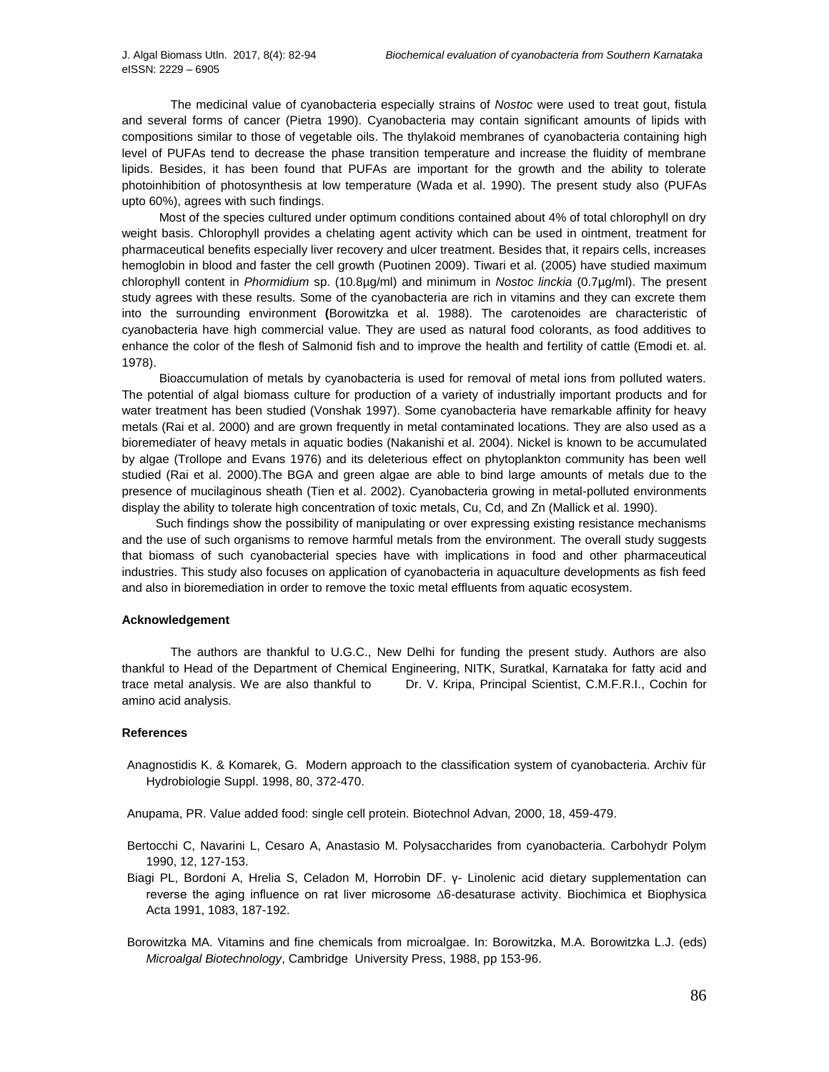The medicinal value of cyanobacteria especially strains of *Nostoc* were used to treat gout, fistula and several forms of cancer (Pietra 1990). Cyanobacteria may contain significant amounts of lipids with compositions similar to those of vegetable oils. The thylakoid membranes of cyanobacteria containing high level of PUFAs tend to decrease the phase transition temperature and increase the fluidity of membrane lipids. Besides, it has been found that PUFAs are important for the growth and the ability to tolerate photoinhibition of photosynthesis at low temperature (Wada et al. 1990). The present study also (PUFAs upto 60%), agrees with such findings.

 Most of the species cultured under optimum conditions contained about 4% of total chlorophyll on dry weight basis. Chlorophyll provides a chelating agent activity which can be used in ointment, treatment for pharmaceutical benefits especially liver recovery and ulcer treatment. Besides that, it repairs cells, increases hemoglobin in blood and faster the cell growth (Puotinen 2009). Tiwari et al. (2005) have studied maximum chlorophyll content in *Phormidium* sp. (10.8µg/ml) and minimum in *Nostoc linckia* (0.7µg/ml). The present study agrees with these results. Some of the cyanobacteria are rich in vitamins and they can excrete them into the surrounding environment **(**Borowitzka et al. 1988). The carotenoides are characteristic of cyanobacteria have high commercial value. They are used as natural food colorants, as food additives to enhance the color of the flesh of Salmonid fish and to improve the health and fertility of cattle (Emodi et. al. 1978).

 Bioaccumulation of metals by cyanobacteria is used for removal of metal ions from polluted waters. The potential of algal biomass culture for production of a variety of industrially important products and for water treatment has been studied (Vonshak 1997). Some cyanobacteria have remarkable affinity for heavy metals (Rai et al. 2000) and are grown frequently in metal contaminated locations. They are also used as a bioremediater of heavy metals in aquatic bodies (Nakanishi et al. 2004). Nickel is known to be accumulated by algae (Trollope and Evans 1976) and its deleterious effect on phytoplankton community has been well studied (Rai et al. 2000).The BGA and green algae are able to bind large amounts of metals due to the presence of mucilaginous sheath (Tien et al. 2002). Cyanobacteria growing in metal-polluted environments display the ability to tolerate high concentration of toxic metals, Cu, Cd, and Zn (Mallick et al. 1990).

 Such findings show the possibility of manipulating or over expressing existing resistance mechanisms and the use of such organisms to remove harmful metals from the environment. The overall study suggests that biomass of such cyanobacterial species have with implications in food and other pharmaceutical industries. This study also focuses on application of cyanobacteria in aquaculture developments as fish feed and also in bioremediation in order to remove the toxic metal effluents from aquatic ecosystem.

## **Acknowledgement**

The authors are thankful to U.G.C., New Delhi for funding the present study. Authors are also thankful to Head of the Department of Chemical Engineering, NITK, Suratkal, Karnataka for fatty acid and trace metal analysis. We are also thankful to Dr. V. Kripa, Principal Scientist, C.M.F.R.I., Cochin for amino acid analysis.

#### **References**

Anagnostidis K. & Komarek, G. Modern approach to the classification system of cyanobacteria. Archiv für Hydrobiologie Suppl. 1998, 80, 372-470.

Anupama, PR. Value added food: single cell protein. Biotechnol Advan*,* 2000, 18, 459-479.

- Bertocchi C, Navarini L, Cesaro A, Anastasio M. Polysaccharides from cyanobacteria. Carbohydr Polym 1990, 12, 127-153.
- Biagi PL, Bordoni A, Hrelia S, Celadon M, Horrobin DF. γ- Linolenic acid dietary supplementation can reverse the aging influence on rat liver microsome ∆6-desaturase activity. Biochimica et Biophysica Acta 1991, 1083, 187-192.
- Borowitzka MA. Vitamins and fine chemicals from microalgae. In: Borowitzka, M.A. Borowitzka L.J. (eds) *Microalgal Biotechnology*, Cambridge University Press, 1988, pp 153-96.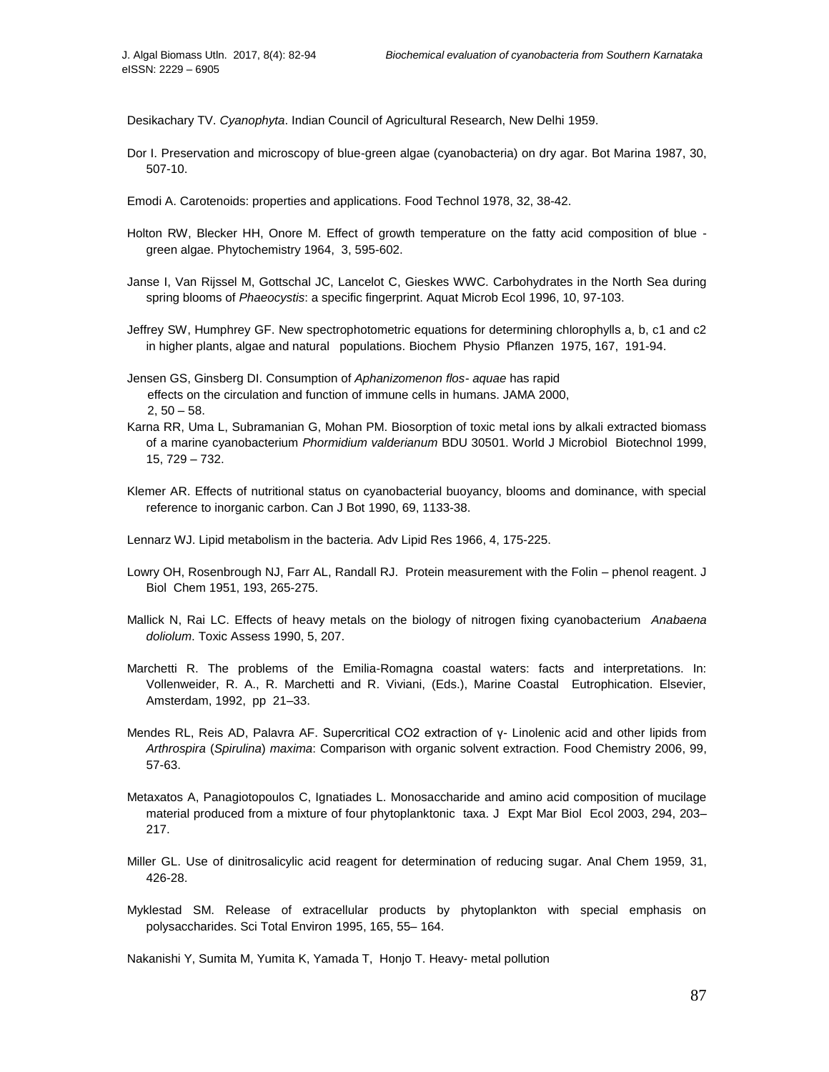Desikachary TV. *Cyanophyta*. Indian Council of Agricultural Research, New Delhi 1959.

- Dor I. Preservation and microscopy of blue-green algae (cyanobacteria) on dry agar. Bot Marina 1987, 30, 507-10.
- Emodi A. Carotenoids: properties and applications. Food Technol 1978, 32, 38-42.
- Holton RW, Blecker HH, Onore M. Effect of growth temperature on the fatty acid composition of blue green algae. Phytochemistry 1964, 3, 595-602.
- Janse I, Van Rijssel M, Gottschal JC, Lancelot C, Gieskes WWC. Carbohydrates in the North Sea during spring blooms of *Phaeocystis*: a specific fingerprint. Aquat Microb Ecol 1996, 10, 97-103.
- Jeffrey SW, Humphrey GF. New spectrophotometric equations for determining chlorophylls a, b, c1 and c2 in higher plants, algae and natural populations. Biochem Physio Pflanzen 1975, 167, 191-94.
- Jensen GS, Ginsberg DI. Consumption of *Aphanizomenon flos- aquae* has rapid effects on the circulation and function of immune cells in humans. JAMA 2000,  $2, 50 - 58.$
- Karna RR, Uma L, Subramanian G, Mohan PM. Biosorption of toxic metal ions by alkali extracted biomass of a marine cyanobacterium *Phormidium valderianum* BDU 30501. World J Microbiol Biotechnol 1999, 15, 729 – 732.
- Klemer AR. Effects of nutritional status on cyanobacterial buoyancy, blooms and dominance, with special reference to inorganic carbon. Can J Bot 1990, 69, 1133-38.

Lennarz WJ. Lipid metabolism in the bacteria. Adv Lipid Res 1966, 4, 175-225.

- Lowry OH, Rosenbrough NJ, Farr AL, Randall RJ. Protein measurement with the Folin phenol reagent. J Biol Chem 1951, 193, 265-275.
- Mallick N, Rai LC. Effects of heavy metals on the biology of nitrogen fixing cyanobacterium *Anabaena doliolum*. Toxic Assess 1990, 5, 207.
- Marchetti R. The problems of the Emilia-Romagna coastal waters: facts and interpretations. In: Vollenweider, R. A., R. Marchetti and R. Viviani, (Eds.), Marine Coastal Eutrophication. Elsevier, Amsterdam, 1992, pp 21–33.
- Mendes RL, Reis AD, Palavra AF. Supercritical CO2 extraction of γ- Linolenic acid and other lipids from *Arthrospira* (*Spirulina*) *maxima*: Comparison with organic solvent extraction. Food Chemistry 2006, 99, 57-63.
- Metaxatos A, Panagiotopoulos C, Ignatiades L. Monosaccharide and amino acid composition of mucilage material produced from a mixture of four phytoplanktonic taxa. J Expt Mar Biol Ecol 2003, 294, 203– 217.
- Miller GL. Use of dinitrosalicylic acid reagent for determination of reducing sugar. Anal Chem 1959, 31, 426-28.
- Myklestad SM. Release of extracellular products by phytoplankton with special emphasis on polysaccharides. Sci Total Environ 1995, 165, 55– 164.

Nakanishi Y, Sumita M, Yumita K, Yamada T, Honjo T. Heavy- metal pollution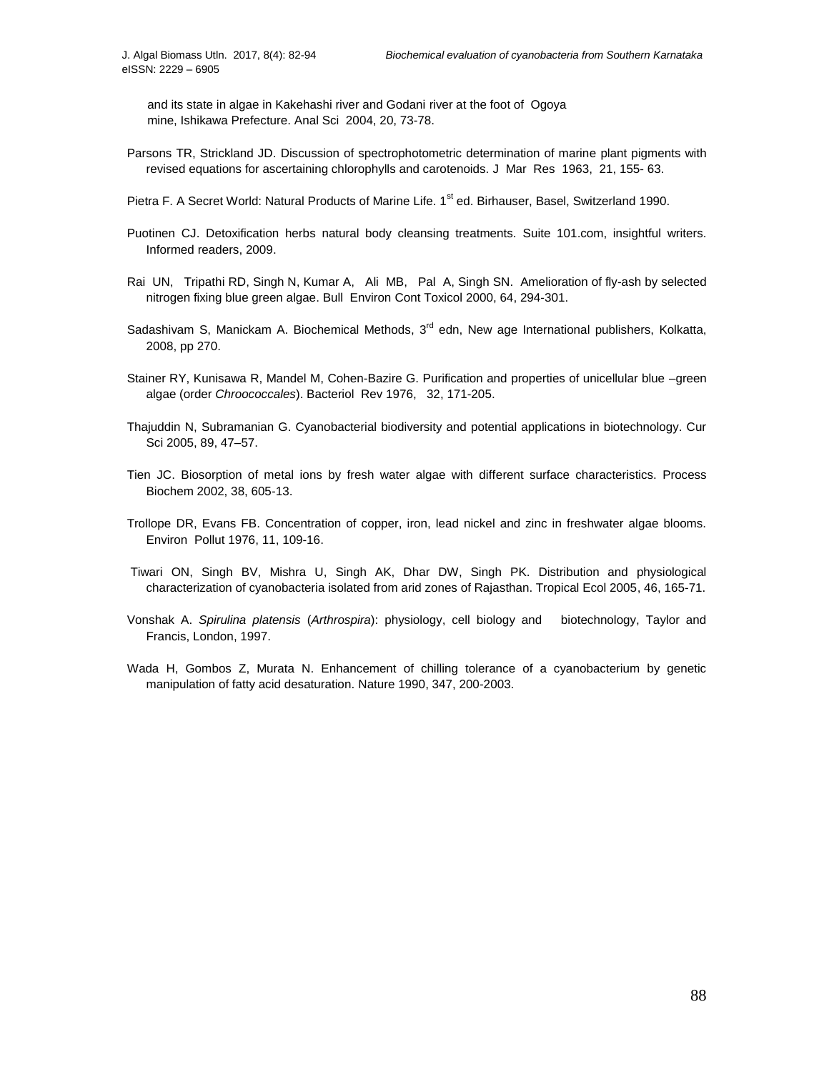and its state in algae in Kakehashi river and Godani river at the foot of Ogoya mine, Ishikawa Prefecture. Anal Sci 2004, 20, 73-78.

- Parsons TR, Strickland JD. Discussion of spectrophotometric determination of marine plant pigments with revised equations for ascertaining chlorophylls and carotenoids. J Mar Res 1963, 21, 155- 63.
- Pietra F. A Secret World: Natural Products of Marine Life. 1<sup>st</sup> ed. Birhauser, Basel, Switzerland 1990.
- Puotinen CJ. Detoxification herbs natural body cleansing treatments. Suite 101.com, insightful writers. Informed readers, 2009.
- Rai UN, Tripathi RD, Singh N, Kumar A, Ali MB, Pal A, Singh SN. Amelioration of fly-ash by selected nitrogen fixing blue green algae. Bull Environ Cont Toxicol 2000, 64, 294-301.
- Sadashivam S, Manickam A. Biochemical Methods, 3<sup>rd</sup> edn, New age International publishers, Kolkatta, 2008, pp 270.
- Stainer RY, Kunisawa R, Mandel M, Cohen-Bazire G. Purification and properties of unicellular blue –green algae (order *Chroococcales*). Bacteriol Rev 1976, 32, 171-205.
- Thajuddin N, Subramanian G. Cyanobacterial biodiversity and potential applications in biotechnology. Cur Sci 2005, 89, 47–57.
- Tien JC. Biosorption of metal ions by fresh water algae with different surface characteristics. Process Biochem 2002, 38, 605-13.
- Trollope DR, Evans FB. Concentration of copper, iron, lead nickel and zinc in freshwater algae blooms. Environ Pollut 1976, 11, 109-16.
- Tiwari ON, Singh BV, Mishra U, Singh AK, Dhar DW, Singh PK. Distribution and physiological characterization of cyanobacteria isolated from arid zones of Rajasthan. Tropical Ecol 2005, 46, 165-71.
- Vonshak A. *Spirulina platensis* (*Arthrospira*): physiology, cell biology and biotechnology, Taylor and Francis, London, 1997.
- Wada H, Gombos Z, Murata N. Enhancement of chilling tolerance of a cyanobacterium by genetic manipulation of fatty acid desaturation. Nature 1990, 347, 200-2003.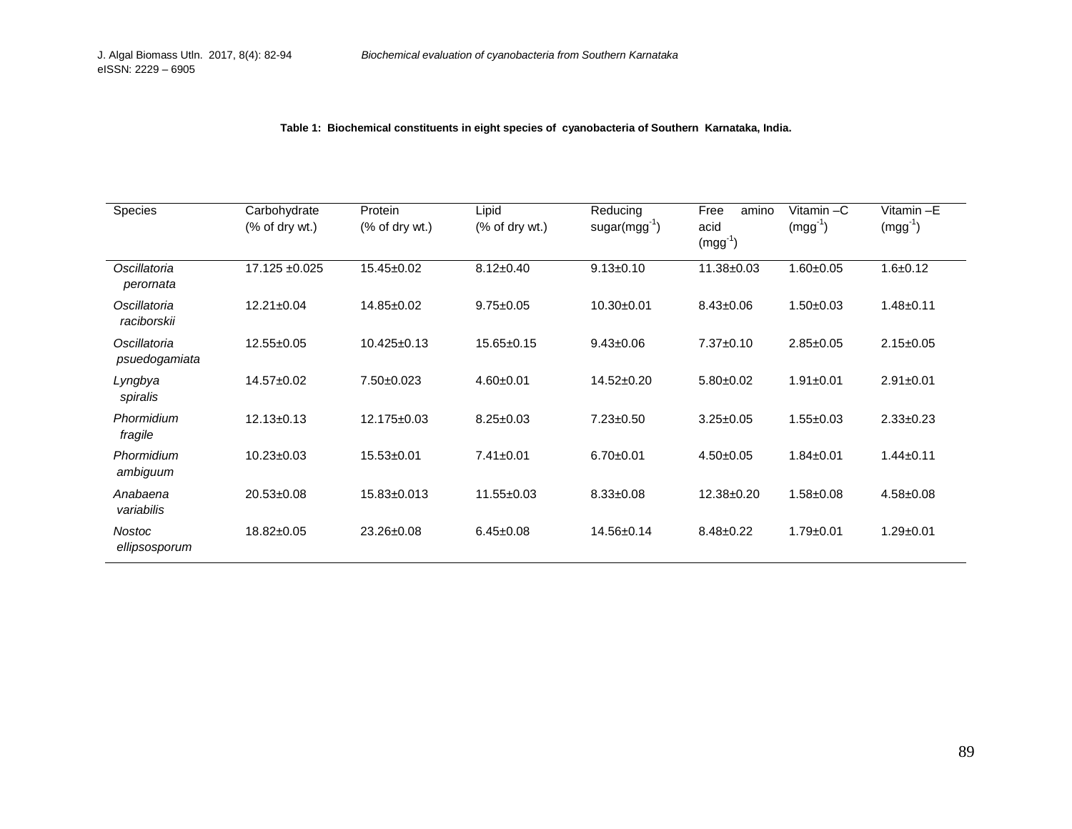**Table 1: Biochemical constituents in eight species of cyanobacteria of Southern Karnataka, India.**

| Species                        | Carbohydrate<br>$%$ of dry wt.) | Protein<br>$(% \mathcal{L}_{0})$ of dry wt.) | Lipid<br>$(% \mathcal{L}^{\prime}\mathcal{L}^{\prime})$ of dry wt.) | Reducing<br>$sugar(mgg^{-1})$ | Free<br>amino<br>acid<br>$(mgg^{-1})$ | Vitamin-C<br>$(mgg^{-1})$ | Vitamin-E<br>$(mgg^{-1})$ |
|--------------------------------|---------------------------------|----------------------------------------------|---------------------------------------------------------------------|-------------------------------|---------------------------------------|---------------------------|---------------------------|
| Oscillatoria<br>perornata      | 17.125 ±0.025                   | $15.45 \pm 0.02$                             | $8.12 \pm 0.40$                                                     | $9.13 \pm 0.10$               | 11.38±0.03                            | $1.60 + 0.05$             | $1.6 + 0.12$              |
| Oscillatoria<br>raciborskii    | $12.21 \pm 0.04$                | 14.85±0.02                                   | $9.75 \pm 0.05$                                                     | 10.30±0.01                    | $8.43 \pm 0.06$                       | $1.50+0.03$               | $1.48 + 0.11$             |
| Oscillatoria<br>psuedogamiata  | $12.55 \pm 0.05$                | $10.425 \pm 0.13$                            | $15.65 \pm 0.15$                                                    | $9.43 \pm 0.06$               | $7.37 \pm 0.10$                       | $2.85 \pm 0.05$           | $2.15 \pm 0.05$           |
| Lyngbya<br>spiralis            | 14.57±0.02                      | 7.50±0.023                                   | $4.60 + 0.01$                                                       | 14.52±0.20                    | $5.80+0.02$                           | $1.91 \pm 0.01$           | $2.91 \pm 0.01$           |
| Phormidium<br>fragile          | $12.13 \pm 0.13$                | 12.175±0.03                                  | $8.25 \pm 0.03$                                                     | $7.23 \pm 0.50$               | $3.25 \pm 0.05$                       | $1.55 \pm 0.03$           | $2.33 \pm 0.23$           |
| Phormidium<br>ambiguum         | $10.23 \pm 0.03$                | $15.53 \pm 0.01$                             | $7.41 \pm 0.01$                                                     | $6.70 \pm 0.01$               | $4.50+0.05$                           | $1.84 \pm 0.01$           | $1.44 \pm 0.11$           |
| Anabaena<br>variabilis         | $20.53 \pm 0.08$                | 15.83±0.013                                  | $11.55 \pm 0.03$                                                    | $8.33 \pm 0.08$               | 12.38±0.20                            | $1.58 + 0.08$             | $4.58 \pm 0.08$           |
| <b>Nostoc</b><br>ellipsosporum | 18.82±0.05                      | 23.26±0.08                                   | $6.45 \pm 0.08$                                                     | 14.56±0.14                    | $8.48 \pm 0.22$                       | $1.79 + 0.01$             | $1.29 + 0.01$             |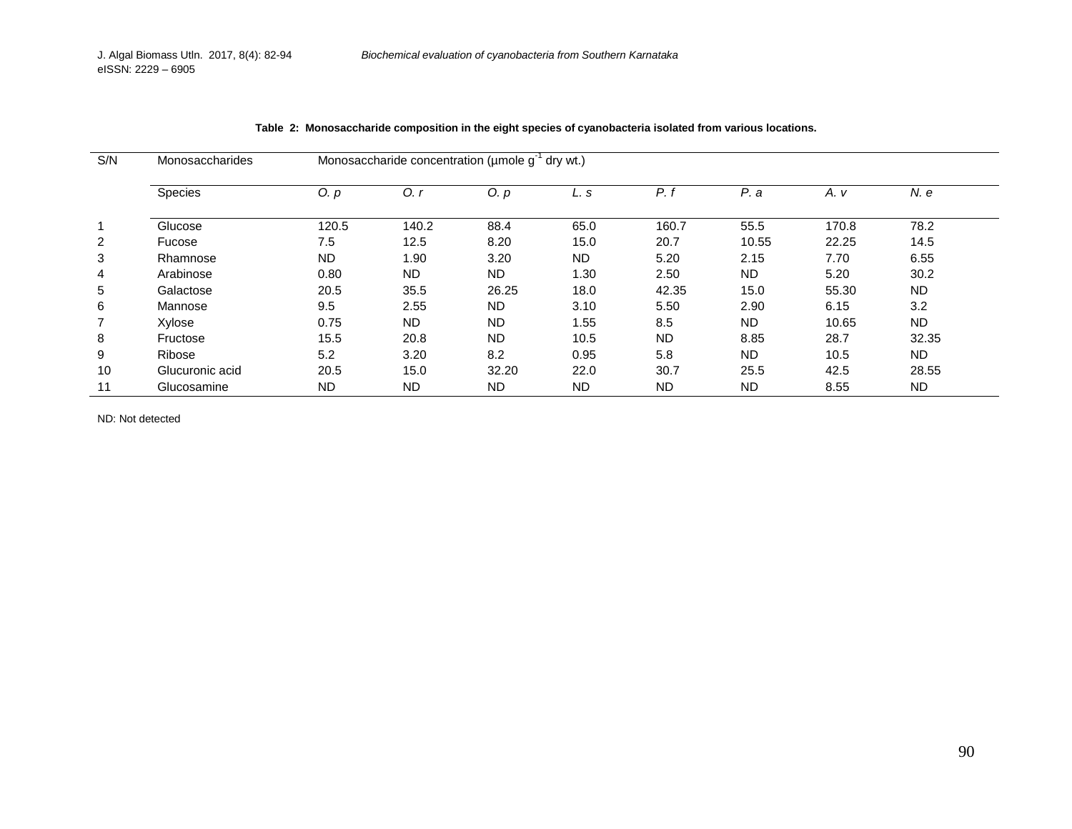| S/N | Monosaccharides | Monosaccharide concentration ( $\mu$ mole $g^{-1}$ dry wt.) |           |           |           |           |           |       |           |  |
|-----|-----------------|-------------------------------------------------------------|-----------|-----------|-----------|-----------|-----------|-------|-----------|--|
|     | Species         | 0. p                                                        | $O_{1}$   | O. p      | L. s      | $P_{i}$   | P. a      | A. v  | N. e      |  |
| 1   | Glucose         | 120.5                                                       | 140.2     | 88.4      | 65.0      | 160.7     | 55.5      | 170.8 | 78.2      |  |
| 2   | Fucose          | 7.5                                                         | 12.5      | 8.20      | 15.0      | 20.7      | 10.55     | 22.25 | 14.5      |  |
| 3   | Rhamnose        | <b>ND</b>                                                   | 1.90      | 3.20      | <b>ND</b> | 5.20      | 2.15      | 7.70  | 6.55      |  |
| 4   | Arabinose       | 0.80                                                        | <b>ND</b> | <b>ND</b> | 1.30      | 2.50      | <b>ND</b> | 5.20  | 30.2      |  |
| 5   | Galactose       | 20.5                                                        | 35.5      | 26.25     | 18.0      | 42.35     | 15.0      | 55.30 | <b>ND</b> |  |
| 6   | Mannose         | 9.5                                                         | 2.55      | ND.       | 3.10      | 5.50      | 2.90      | 6.15  | 3.2       |  |
| 7   | Xylose          | 0.75                                                        | <b>ND</b> | <b>ND</b> | 1.55      | 8.5       | <b>ND</b> | 10.65 | <b>ND</b> |  |
| 8   | Fructose        | 15.5                                                        | 20.8      | <b>ND</b> | 10.5      | <b>ND</b> | 8.85      | 28.7  | 32.35     |  |
| 9   | Ribose          | 5.2                                                         | 3.20      | 8.2       | 0.95      | 5.8       | <b>ND</b> | 10.5  | <b>ND</b> |  |
| 10  | Glucuronic acid | 20.5                                                        | 15.0      | 32.20     | 22.0      | 30.7      | 25.5      | 42.5  | 28.55     |  |
| 11  | Glucosamine     | <b>ND</b>                                                   | <b>ND</b> | <b>ND</b> | <b>ND</b> | <b>ND</b> | <b>ND</b> | 8.55  | <b>ND</b> |  |

|  |  | Table 2: Monosaccharide composition in the eight species of cyanobacteria isolated from various locations. |  |
|--|--|------------------------------------------------------------------------------------------------------------|--|
|--|--|------------------------------------------------------------------------------------------------------------|--|

ND: Not detected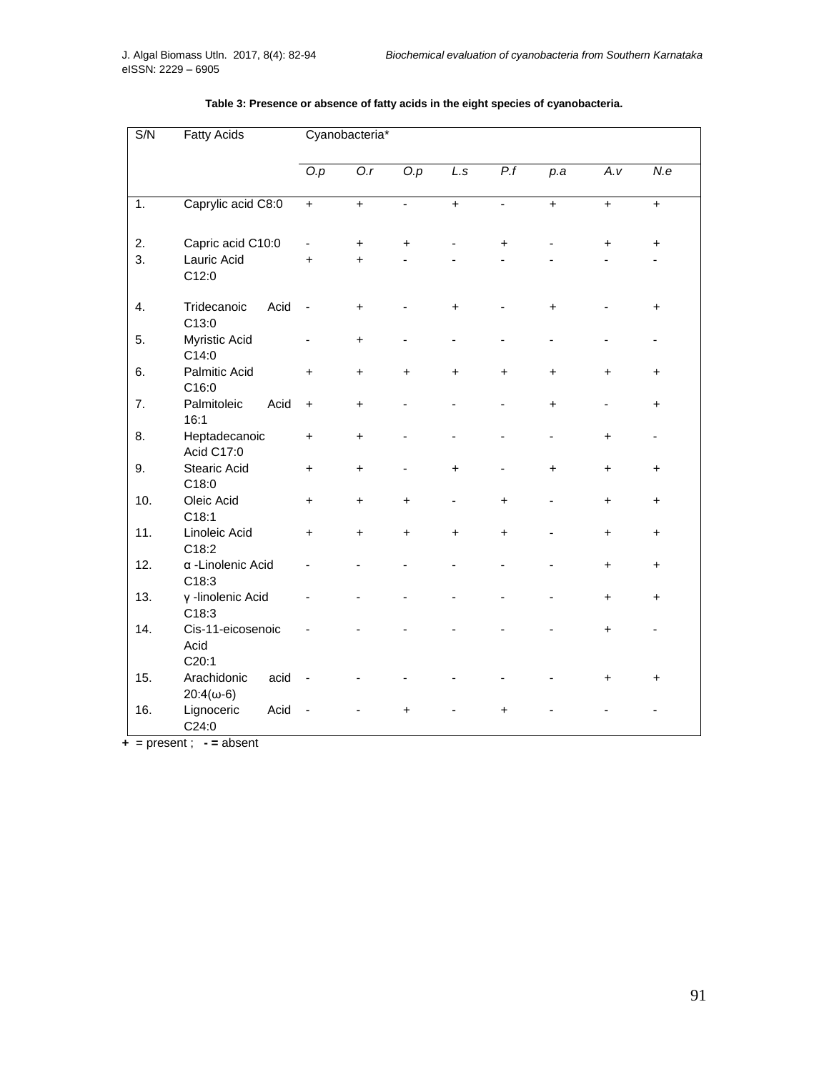| S/N<br><b>Fatty Acids</b> |                                           | Cyanobacteria* |           |           |           |                |           |           |           |  |  |  |
|---------------------------|-------------------------------------------|----------------|-----------|-----------|-----------|----------------|-----------|-----------|-----------|--|--|--|
|                           |                                           | O.p            | O.r       | O.p       | L.s       | P.f            | p.a       | A.v       | N.e       |  |  |  |
| 1.                        | Caprylic acid C8:0                        | $\ddot{}$      | $\ddot{}$ | ÷.        | $\ddot{}$ | $\overline{a}$ | $+$       | $\ddot{}$ | $\ddot{}$ |  |  |  |
| 2.                        | Capric acid C10:0                         |                | +         | +         |           | $\pmb{+}$      |           | +         | +         |  |  |  |
| 3.                        | Lauric Acid<br>C12:0                      | $\ddot{}$      | $\ddot{}$ |           |           |                |           |           |           |  |  |  |
| 4.                        | Tridecanoic<br>Acid<br>C13:0              | ÷,             | $\ddot{}$ |           | $\ddot{}$ |                | $\ddot{}$ |           | $\ddot{}$ |  |  |  |
| 5.                        | Myristic Acid<br>C14:0                    |                | +         |           |           |                | -         |           |           |  |  |  |
| 6.                        | <b>Palmitic Acid</b><br>C16:0             | $\ddot{}$      | $\ddot{}$ | $\ddot{}$ | $\ddot{}$ | +              | $\ddot{}$ | +         | +         |  |  |  |
| 7.                        | Acid<br>Palmitoleic<br>16:1               | $\ddot{}$      | $\ddot{}$ |           |           |                | $\ddot{}$ |           | $\ddot{}$ |  |  |  |
| 8.                        | Heptadecanoic<br>Acid C17:0               | +              | +         |           |           |                |           | +         |           |  |  |  |
| 9.                        | <b>Stearic Acid</b><br>C18:0              | $\ddot{}$      | $\ddot{}$ |           | $\ddot{}$ |                | $\ddot{}$ | +         | +         |  |  |  |
| 10.                       | Oleic Acid<br>C18:1                       | $\ddot{}$      | $\ddot{}$ | $\ddot{}$ |           | $\ddot{}$      |           | $\ddot{}$ | +         |  |  |  |
| 11.                       | Linoleic Acid<br>C18:2                    | $\ddot{}$      | $\ddot{}$ | $\ddot{}$ | $\ddot{}$ | $\ddot{}$      |           | $\ddot{}$ | $\ddot{}$ |  |  |  |
| 12.                       | a -Linolenic Acid<br>C18:3                |                |           |           |           |                |           | $\ddot{}$ | +         |  |  |  |
| 13.                       | γ-linolenic Acid<br>C18:3                 |                |           |           |           |                |           | +         | $\ddot{}$ |  |  |  |
| 14.                       | Cis-11-eicosenoic<br>Acid<br>C20:1        |                |           |           |           |                |           | $\ddot{}$ |           |  |  |  |
| 15.                       | acid<br>Arachidonic<br>$20:4(\omega - 6)$ |                |           |           |           |                |           | +         | +         |  |  |  |
| 16.                       | Lignoceric<br>Acid<br>C24:0               |                |           | $\ddot{}$ |           | $\ddot{}$      |           |           |           |  |  |  |

# **Table 3: Presence or absence of fatty acids in the eight species of cyanobacteria.**

**+** = present ; **- =** absent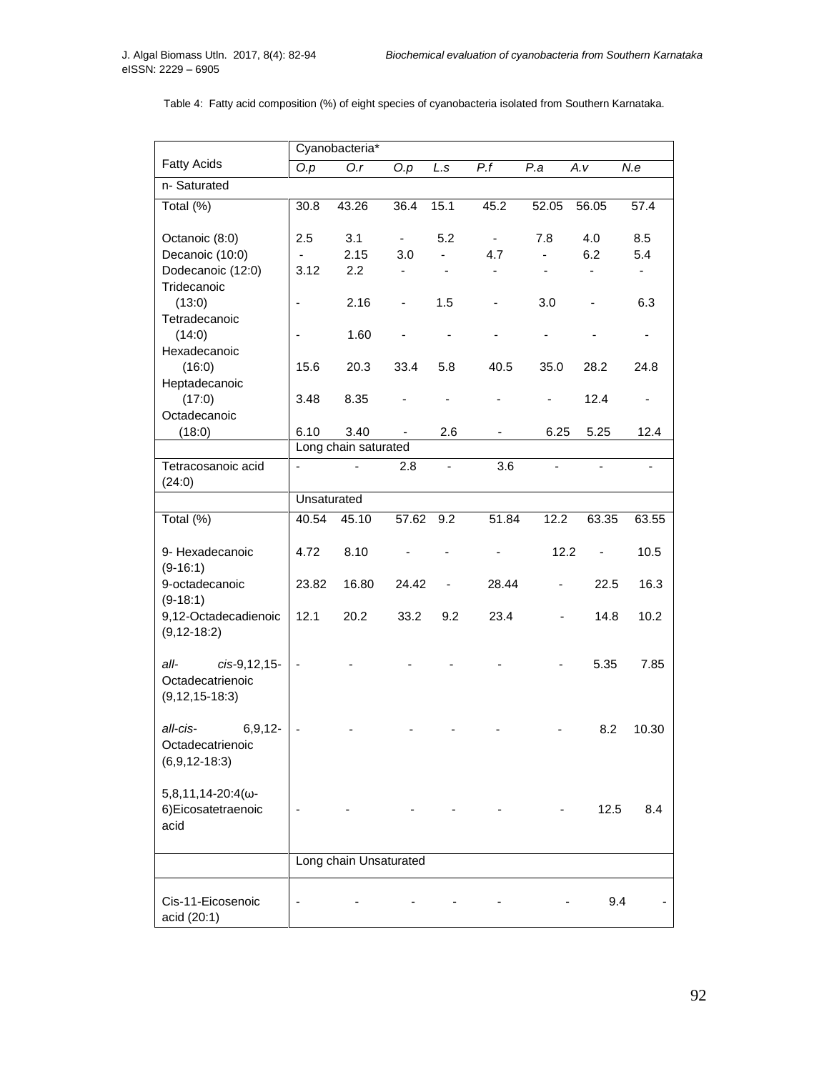|                                  | Cyanobacteria*           |                        |                          |                          |                          |                          |                      |                              |  |  |  |  |  |
|----------------------------------|--------------------------|------------------------|--------------------------|--------------------------|--------------------------|--------------------------|----------------------|------------------------------|--|--|--|--|--|
| <b>Fatty Acids</b>               | $\overline{O.p}$         | $\overline{O.r}$       | $\overline{O.p}$         | L.s                      | $\overline{P.f}$         | P.a                      | $\overline{A}$ . $V$ | N.e                          |  |  |  |  |  |
| n-Saturated                      |                          |                        |                          |                          |                          |                          |                      |                              |  |  |  |  |  |
| Total (%)                        | 30.8                     | 43.26                  | 36.4                     | 15.1                     | 45.2                     | 52.05                    | 56.05                | 57.4                         |  |  |  |  |  |
| Octanoic (8:0)                   | 2.5                      | 3.1                    | ۰                        | 5.2                      | $\sim$                   | 7.8                      | 4.0                  | 8.5                          |  |  |  |  |  |
| Decanoic (10:0)                  | $\blacksquare$           | 2.15                   | 3.0                      |                          | 4.7                      |                          | 6.2                  | 5.4                          |  |  |  |  |  |
| Dodecanoic (12:0)                | 3.12                     | 2.2                    |                          |                          | -                        |                          | -                    | $\blacksquare$               |  |  |  |  |  |
| Tridecanoic<br>(13:0)            | $\overline{\phantom{a}}$ | 2.16                   |                          | 1.5                      | $\overline{\phantom{0}}$ | 3.0                      |                      | 6.3                          |  |  |  |  |  |
| Tetradecanoic                    |                          |                        | $\overline{\phantom{0}}$ |                          |                          |                          |                      |                              |  |  |  |  |  |
| (14:0)                           | ÷,                       | 1.60                   |                          |                          |                          |                          |                      | $\qquad \qquad \blacksquare$ |  |  |  |  |  |
| Hexadecanoic                     |                          |                        |                          |                          |                          |                          |                      |                              |  |  |  |  |  |
| (16:0)                           | 15.6                     | 20.3                   | 33.4                     | 5.8                      | 40.5                     | 35.0                     | 28.2                 | 24.8                         |  |  |  |  |  |
| Heptadecanoic                    |                          |                        |                          |                          |                          |                          |                      |                              |  |  |  |  |  |
| (17:0)                           | 3.48                     | 8.35                   |                          |                          |                          |                          | 12.4                 |                              |  |  |  |  |  |
| Octadecanoic                     |                          |                        |                          |                          |                          |                          |                      |                              |  |  |  |  |  |
| (18:0)                           | 6.10                     | 3.40                   |                          | 2.6                      |                          | 6.25                     | 5.25                 | 12.4                         |  |  |  |  |  |
|                                  |                          | Long chain saturated   |                          |                          |                          |                          |                      |                              |  |  |  |  |  |
| Tetracosanoic acid               | $\blacksquare$           |                        | 2.8                      | $\overline{\phantom{a}}$ | 3.6                      | $\overline{\phantom{a}}$ |                      |                              |  |  |  |  |  |
| (24:0)                           | Unsaturated              |                        |                          |                          |                          |                          |                      |                              |  |  |  |  |  |
|                                  |                          |                        |                          |                          |                          |                          |                      |                              |  |  |  |  |  |
| Total (%)                        | 40.54                    | 45.10                  | 57.62                    | 9.2                      | 51.84                    | 12.2                     | 63.35                | 63.55                        |  |  |  |  |  |
| 9- Hexadecanoic                  | 4.72                     | 8.10                   |                          |                          |                          | 12.2                     |                      | 10.5                         |  |  |  |  |  |
| $(9-16:1)$<br>9-octadecanoic     | 23.82                    | 16.80                  | 24.42                    | $\overline{\phantom{0}}$ | 28.44                    |                          | 22.5                 | 16.3                         |  |  |  |  |  |
| $(9-18:1)$                       |                          |                        |                          |                          |                          |                          |                      |                              |  |  |  |  |  |
| 9,12-Octadecadienoic             | 12.1                     | 20.2                   | 33.2                     | 9.2                      | 23.4                     |                          | 14.8                 | 10.2                         |  |  |  |  |  |
| $(9, 12 - 18.2)$                 |                          |                        |                          |                          |                          |                          |                      |                              |  |  |  |  |  |
| all-<br>cis-9,12,15-             |                          |                        |                          |                          |                          |                          | 5.35                 | 7.85                         |  |  |  |  |  |
| Octadecatrienoic                 |                          |                        |                          |                          |                          |                          |                      |                              |  |  |  |  |  |
| $(9, 12, 15 - 18.3)$             |                          |                        |                          |                          |                          |                          |                      |                              |  |  |  |  |  |
|                                  |                          |                        |                          |                          |                          |                          |                      |                              |  |  |  |  |  |
| all-cis-<br>6, 9, 12             | $\blacksquare$           |                        |                          |                          |                          |                          | 8.2                  | 10.30                        |  |  |  |  |  |
| Octadecatrienoic                 |                          |                        |                          |                          |                          |                          |                      |                              |  |  |  |  |  |
| $(6,9,12-18:3)$                  |                          |                        |                          |                          |                          |                          |                      |                              |  |  |  |  |  |
| $5,8,11,14-20:4(\omega -$        |                          |                        |                          |                          |                          |                          |                      |                              |  |  |  |  |  |
| 6) Eicosatetraenoic              |                          |                        |                          |                          |                          |                          | 12.5                 | 8.4                          |  |  |  |  |  |
| acid                             |                          |                        |                          |                          |                          |                          |                      |                              |  |  |  |  |  |
|                                  |                          |                        |                          |                          |                          |                          |                      |                              |  |  |  |  |  |
|                                  |                          | Long chain Unsaturated |                          |                          |                          |                          |                      |                              |  |  |  |  |  |
|                                  |                          |                        |                          |                          |                          |                          |                      |                              |  |  |  |  |  |
| Cis-11-Eicosenoic<br>acid (20:1) |                          |                        |                          |                          |                          |                          | 9.4                  |                              |  |  |  |  |  |

Table 4: Fatty acid composition (%) of eight species of cyanobacteria isolated from Southern Karnataka.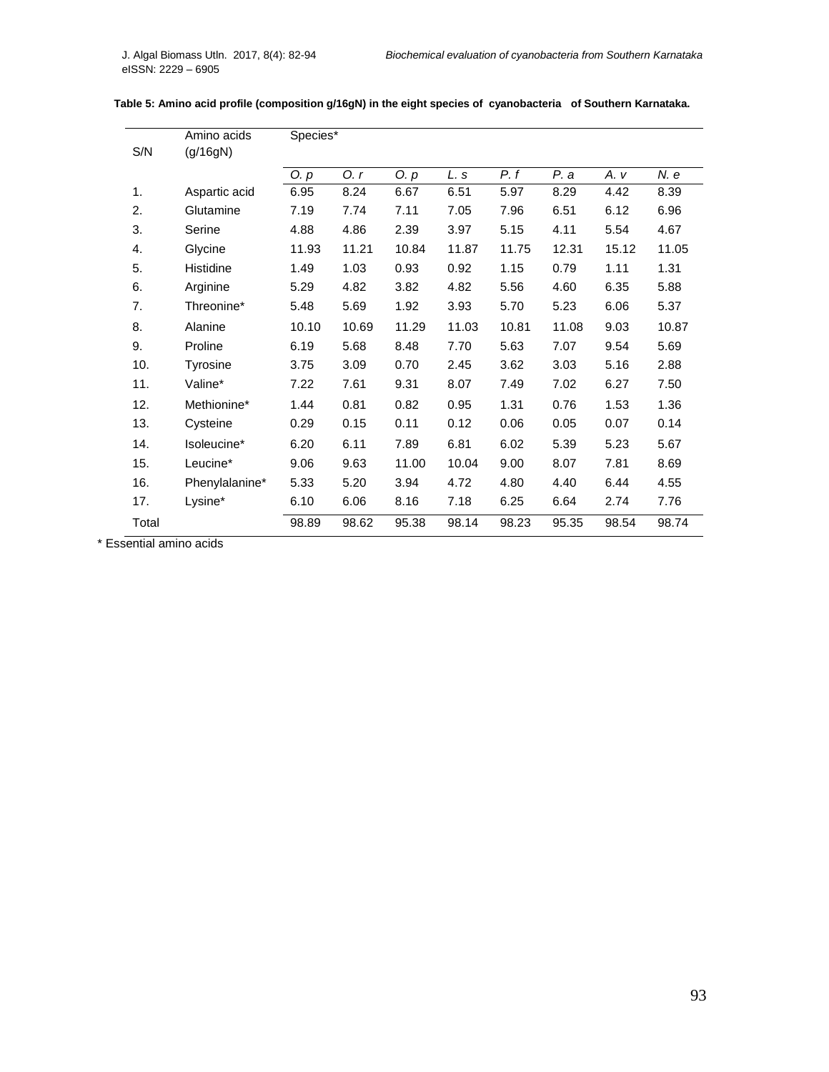| S/N   | Amino acids<br>(g/16gN) | Species* |       |       |       |       |       |       |       |
|-------|-------------------------|----------|-------|-------|-------|-------|-------|-------|-------|
|       |                         | Q. p     | 0. r  | O. p  | L. s  | P. f  | P. a  | A. v  | N. e  |
| 1.    | Aspartic acid           | 6.95     | 8.24  | 6.67  | 6.51  | 5.97  | 8.29  | 4.42  | 8.39  |
| 2.    | Glutamine               | 7.19     | 7.74  | 7.11  | 7.05  | 7.96  | 6.51  | 6.12  | 6.96  |
| 3.    | Serine                  | 4.88     | 4.86  | 2.39  | 3.97  | 5.15  | 4.11  | 5.54  | 4.67  |
| 4.    | Glycine                 | 11.93    | 11.21 | 10.84 | 11.87 | 11.75 | 12.31 | 15.12 | 11.05 |
| 5.    | Histidine               | 1.49     | 1.03  | 0.93  | 0.92  | 1.15  | 0.79  | 1.11  | 1.31  |
| 6.    | Arginine                | 5.29     | 4.82  | 3.82  | 4.82  | 5.56  | 4.60  | 6.35  | 5.88  |
| 7.    | Threonine*              | 5.48     | 5.69  | 1.92  | 3.93  | 5.70  | 5.23  | 6.06  | 5.37  |
| 8.    | Alanine                 | 10.10    | 10.69 | 11.29 | 11.03 | 10.81 | 11.08 | 9.03  | 10.87 |
| 9.    | Proline                 | 6.19     | 5.68  | 8.48  | 7.70  | 5.63  | 7.07  | 9.54  | 5.69  |
| 10.   | Tyrosine                | 3.75     | 3.09  | 0.70  | 2.45  | 3.62  | 3.03  | 5.16  | 2.88  |
| 11.   | Valine*                 | 7.22     | 7.61  | 9.31  | 8.07  | 7.49  | 7.02  | 6.27  | 7.50  |
| 12.   | Methionine*             | 1.44     | 0.81  | 0.82  | 0.95  | 1.31  | 0.76  | 1.53  | 1.36  |
| 13.   | Cysteine                | 0.29     | 0.15  | 0.11  | 0.12  | 0.06  | 0.05  | 0.07  | 0.14  |
| 14.   | Isoleucine*             | 6.20     | 6.11  | 7.89  | 6.81  | 6.02  | 5.39  | 5.23  | 5.67  |
| 15.   | Leucine*                | 9.06     | 9.63  | 11.00 | 10.04 | 9.00  | 8.07  | 7.81  | 8.69  |
| 16.   | Phenylalanine*          | 5.33     | 5.20  | 3.94  | 4.72  | 4.80  | 4.40  | 6.44  | 4.55  |
| 17.   | Lysine*                 | 6.10     | 6.06  | 8.16  | 7.18  | 6.25  | 6.64  | 2.74  | 7.76  |
| Total |                         | 98.89    | 98.62 | 95.38 | 98.14 | 98.23 | 95.35 | 98.54 | 98.74 |

|  |  | Table 5: Amino acid profile (composition g/16gN) in the eight species of cyanobacteria of Southern Karnataka. |
|--|--|---------------------------------------------------------------------------------------------------------------|
|  |  |                                                                                                               |

\* Essential amino acids